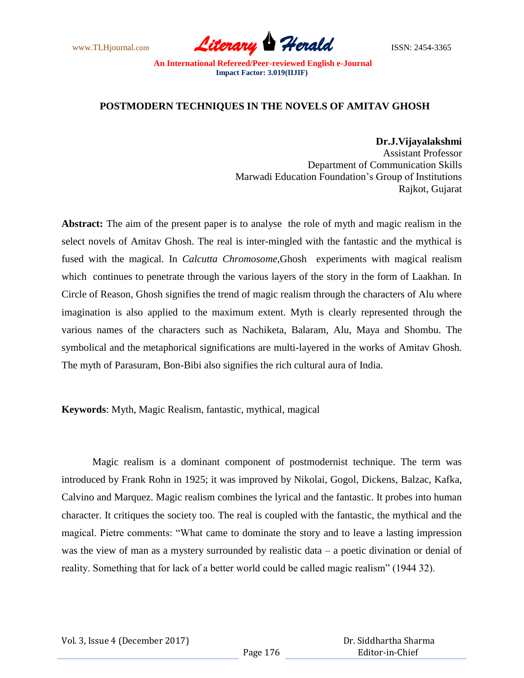www.TLHjournal.com **Literary Herald Herald** ISSN: 2454-3365

## **POSTMODERN TECHNIQUES IN THE NOVELS OF AMITAV GHOSH**

**Dr.J.Vijayalakshmi** Assistant Professor Department of Communication Skills Marwadi Education Foundation"s Group of Institutions Rajkot, Gujarat

**Abstract:** The aim of the present paper is to analyse the role of myth and magic realism in the select novels of Amitav Ghosh. The real is inter-mingled with the fantastic and the mythical is fused with the magical. In *Calcutta Chromosome*,Ghosh experiments with magical realism which continues to penetrate through the various layers of the story in the form of Laakhan. In Circle of Reason, Ghosh signifies the trend of magic realism through the characters of Alu where imagination is also applied to the maximum extent. Myth is clearly represented through the various names of the characters such as Nachiketa, Balaram, Alu, Maya and Shombu. The symbolical and the metaphorical significations are multi-layered in the works of Amitav Ghosh. The myth of Parasuram, Bon-Bibi also signifies the rich cultural aura of India.

**Keywords**: Myth, Magic Realism, fantastic, mythical, magical

Magic realism is a dominant component of postmodernist technique. The term was introduced by Frank Rohn in 1925; it was improved by Nikolai, Gogol, Dickens, Balzac, Kafka, Calvino and Marquez. Magic realism combines the lyrical and the fantastic. It probes into human character. It critiques the society too. The real is coupled with the fantastic, the mythical and the magical. Pietre comments: "What came to dominate the story and to leave a lasting impression was the view of man as a mystery surrounded by realistic data – a poetic divination or denial of reality. Something that for lack of a better world could be called magic realism" (1944 32).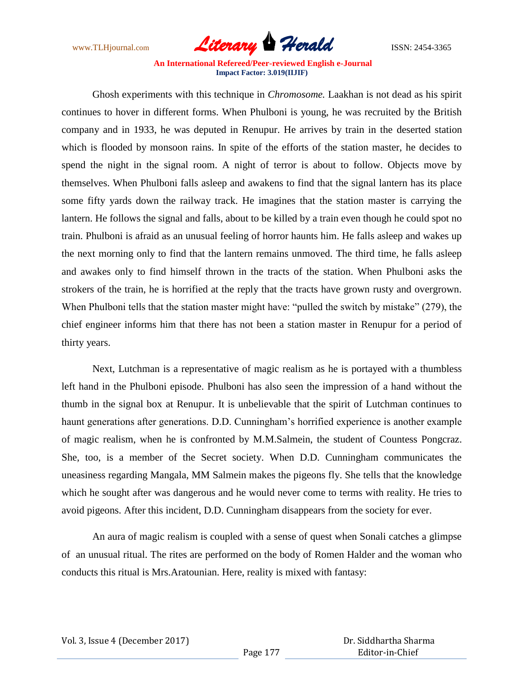

Ghosh experiments with this technique in *Chromosome.* Laakhan is not dead as his spirit continues to hover in different forms. When Phulboni is young, he was recruited by the British company and in 1933, he was deputed in Renupur. He arrives by train in the deserted station which is flooded by monsoon rains. In spite of the efforts of the station master, he decides to spend the night in the signal room. A night of terror is about to follow. Objects move by themselves. When Phulboni falls asleep and awakens to find that the signal lantern has its place some fifty yards down the railway track. He imagines that the station master is carrying the lantern. He follows the signal and falls, about to be killed by a train even though he could spot no train. Phulboni is afraid as an unusual feeling of horror haunts him. He falls asleep and wakes up the next morning only to find that the lantern remains unmoved. The third time, he falls asleep and awakes only to find himself thrown in the tracts of the station. When Phulboni asks the strokers of the train, he is horrified at the reply that the tracts have grown rusty and overgrown. When Phulboni tells that the station master might have: "pulled the switch by mistake" (279), the chief engineer informs him that there has not been a station master in Renupur for a period of thirty years.

Next, Lutchman is a representative of magic realism as he is portayed with a thumbless left hand in the Phulboni episode. Phulboni has also seen the impression of a hand without the thumb in the signal box at Renupur. It is unbelievable that the spirit of Lutchman continues to haunt generations after generations. D.D. Cunningham's horrified experience is another example of magic realism, when he is confronted by M.M.Salmein, the student of Countess Pongcraz. She, too, is a member of the Secret society. When D.D. Cunningham communicates the uneasiness regarding Mangala, MM Salmein makes the pigeons fly. She tells that the knowledge which he sought after was dangerous and he would never come to terms with reality. He tries to avoid pigeons. After this incident, D.D. Cunningham disappears from the society for ever.

An aura of magic realism is coupled with a sense of quest when Sonali catches a glimpse of an unusual ritual. The rites are performed on the body of Romen Halder and the woman who conducts this ritual is Mrs.Aratounian. Here, reality is mixed with fantasy: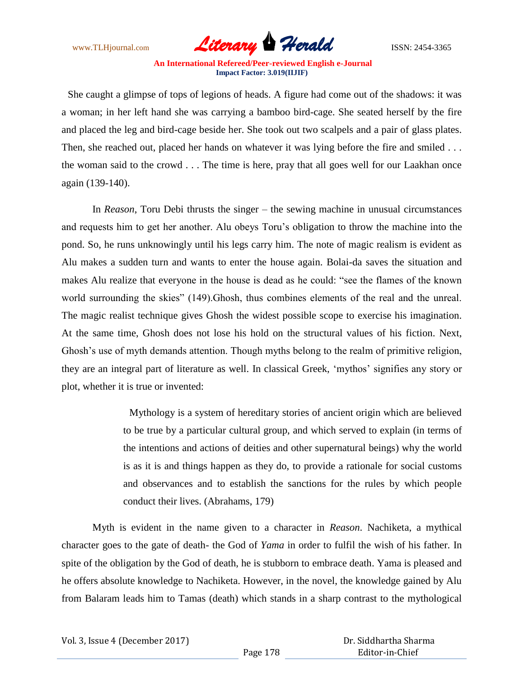

She caught a glimpse of tops of legions of heads. A figure had come out of the shadows: it was a woman; in her left hand she was carrying a bamboo bird-cage. She seated herself by the fire and placed the leg and bird-cage beside her. She took out two scalpels and a pair of glass plates. Then, she reached out, placed her hands on whatever it was lying before the fire and smiled ... the woman said to the crowd . . . The time is here, pray that all goes well for our Laakhan once again (139-140).

In *Reason*, Toru Debi thrusts the singer – the sewing machine in unusual circumstances and requests him to get her another. Alu obeys Toru"s obligation to throw the machine into the pond. So, he runs unknowingly until his legs carry him. The note of magic realism is evident as Alu makes a sudden turn and wants to enter the house again. Bolai-da saves the situation and makes Alu realize that everyone in the house is dead as he could: "see the flames of the known world surrounding the skies" (149).Ghosh, thus combines elements of the real and the unreal. The magic realist technique gives Ghosh the widest possible scope to exercise his imagination. At the same time, Ghosh does not lose his hold on the structural values of his fiction. Next, Ghosh's use of myth demands attention. Though myths belong to the realm of primitive religion, they are an integral part of literature as well. In classical Greek, "mythos" signifies any story or plot, whether it is true or invented:

> Mythology is a system of hereditary stories of ancient origin which are believed to be true by a particular cultural group, and which served to explain (in terms of the intentions and actions of deities and other supernatural beings) why the world is as it is and things happen as they do, to provide a rationale for social customs and observances and to establish the sanctions for the rules by which people conduct their lives. (Abrahams, 179)

Myth is evident in the name given to a character in *Reason*. Nachiketa, a mythical character goes to the gate of death- the God of *Yama* in order to fulfil the wish of his father. In spite of the obligation by the God of death, he is stubborn to embrace death. Yama is pleased and he offers absolute knowledge to Nachiketa. However, in the novel, the knowledge gained by Alu from Balaram leads him to Tamas (death) which stands in a sharp contrast to the mythological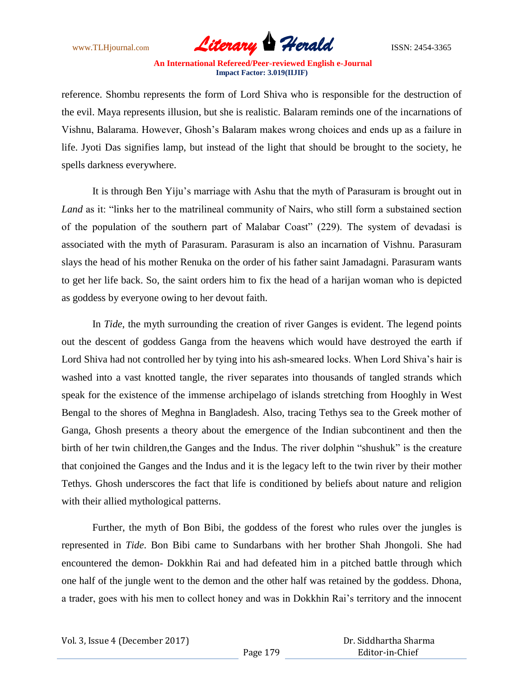

reference. Shombu represents the form of Lord Shiva who is responsible for the destruction of the evil. Maya represents illusion, but she is realistic. Balaram reminds one of the incarnations of Vishnu, Balarama. However, Ghosh"s Balaram makes wrong choices and ends up as a failure in life. Jyoti Das signifies lamp, but instead of the light that should be brought to the society, he spells darkness everywhere.

It is through Ben Yiju"s marriage with Ashu that the myth of Parasuram is brought out in *Land* as it: "links her to the matrilineal community of Nairs, who still form a substained section of the population of the southern part of Malabar Coast" (229). The system of devadasi is associated with the myth of Parasuram. Parasuram is also an incarnation of Vishnu. Parasuram slays the head of his mother Renuka on the order of his father saint Jamadagni. Parasuram wants to get her life back. So, the saint orders him to fix the head of a harijan woman who is depicted as goddess by everyone owing to her devout faith.

In *Tide*, the myth surrounding the creation of river Ganges is evident. The legend points out the descent of goddess Ganga from the heavens which would have destroyed the earth if Lord Shiva had not controlled her by tying into his ash-smeared locks. When Lord Shiva's hair is washed into a vast knotted tangle, the river separates into thousands of tangled strands which speak for the existence of the immense archipelago of islands stretching from Hooghly in West Bengal to the shores of Meghna in Bangladesh. Also, tracing Tethys sea to the Greek mother of Ganga, Ghosh presents a theory about the emergence of the Indian subcontinent and then the birth of her twin children,the Ganges and the Indus. The river dolphin "shushuk" is the creature that conjoined the Ganges and the Indus and it is the legacy left to the twin river by their mother Tethys. Ghosh underscores the fact that life is conditioned by beliefs about nature and religion with their allied mythological patterns.

Further, the myth of Bon Bibi, the goddess of the forest who rules over the jungles is represented in *Tide*. Bon Bibi came to Sundarbans with her brother Shah Jhongoli. She had encountered the demon- Dokkhin Rai and had defeated him in a pitched battle through which one half of the jungle went to the demon and the other half was retained by the goddess. Dhona, a trader, goes with his men to collect honey and was in Dokkhin Rai"s territory and the innocent